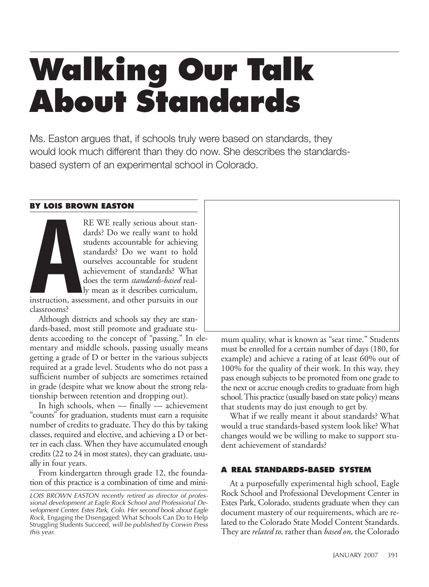# **Walking Our Talk About Standards**

Ms. Easton argues that, if schools truly were based on standards, they would look much different than they do now. She describes the standardsbased system of an experimental school in Colorado.

### **BY LOIS BROWN EASTON**

**BY LOIS BRO** RE WE really serious about standards? Do we really want to hold students accountable for achieving standards? Do we want to hold ourselves accountable for student achievement of standards? What does the term *standards-based* really mean as it describes curriculum,

instruction, assessment, and other pursuits in our classrooms?

Although districts and schools say they are standards-based, most still promote and graduate students according to the concept of "passing." In elementary and middle schools, passing usually means getting a grade of D or better in the various subjects required at a grade level. Students who do not pass a sufficient number of subjects are sometimes retained in grade (despite what we know about the strong relationship between retention and dropping out).

In high schools, when — finally — achievement "counts" for graduation, students must earn a requisite number of credits to graduate. They do this by taking classes, required and elective, and achieving a D or better in each class. When they have accumulated enough credits (22 to 24 in most states), they can graduate, usually in four years.

From kindergarten through grade 12, the foundation of this practice is a combination of time and mini-



mum quality, what is known as "seat time." Students must be enrolled for a certain number of days (180, for example) and achieve a rating of at least 60% out of 100% for the quality of their work. In this way, they pass enough subjects to be promoted from one grade to the next or accrue enough credits to graduate from high school. This practice (usually based on state policy) means that students may do just enough to get by.

What if we really meant it about standards? What would a true standards-based system look like? What changes would we be willing to make to support student achievement of standards?

### **A REAL STANDARDS-BASED SYSTEM**

At a purposefully experimental high school, Eagle Rock School and Professional Development Center in Estes Park, Colorado, students graduate when they can document mastery of our requirements, which are related to the Colorado State Model Content Standards. They are *related to,* rather than *based on,* the Colorado

*LOIS BROWN EASTON recently retired as director of professional development at Eagle Rock School and Professional Development Center, Estes Park, Colo. Her second book about Eagle Rock,* Engaging the Disengaged: What Schools Can Do to Help Struggling Students Succeed*, will be published by Corwin Press this year.*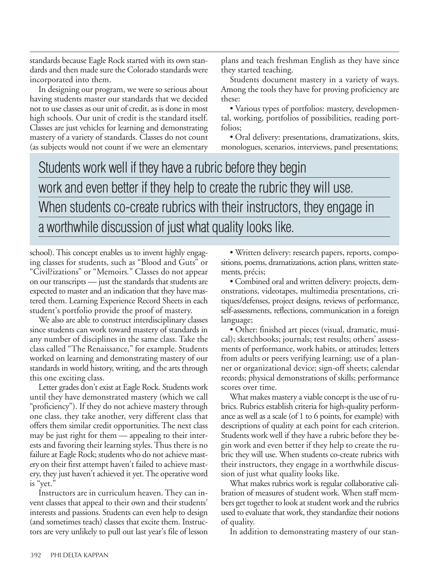standards because Eagle Rock started with its own standards and then made sure the Colorado standards were incorporated into them.

In designing our program, we were so serious about having students master our standards that we decided not to use classes as our unit of credit, as is done in most high schools. Our unit of credit is the standard itself. Classes are just vehicles for learning and demonstrating mastery of a variety of standards. Classes do not count (as subjects would not count if we were an elementary

plans and teach freshman English as they have since they started teaching.

Students document mastery in a variety of ways. Among the tools they have for proving proficiency are these:

• Various types of portfolios: mastery, developmental, working, portfolios of possibilities, reading portfolios;

• Oral delivery: presentations, dramatizations, skits, monologues, scenarios, interviews, panel presentations;

Students work well if they have a rubric before they begin work and even better if they help to create the rubric they will use. When students co-create rubrics with their instructors, they engage in a worthwhile discussion of just what quality looks like.

school). This concept enables us to invent highly engaging classes for students, such as "Blood and Guts" or "Civil?izations" or "Memoirs*.*" Classes do not appear on our transcripts — just the standards that students are expected to master and an indication that they have mastered them. Learning Experience Record Sheets in each student's portfolio provide the proof of mastery.

We also are able to construct interdisciplinary classes since students can work toward mastery of standards in any number of disciplines in the same class. Take the class called "The Renaissance," for example. Students worked on learning and demonstrating mastery of our standards in world history, writing, and the arts through this one exciting class.

Letter grades don't exist at Eagle Rock. Students work until they have demonstrated mastery (which we call "proficiency"). If they do not achieve mastery through one class, they take another, very different class that offers them similar credit opportunities. The next class may be just right for them — appealing to their interests and favoring their learning styles. Thus there is no failure at Eagle Rock; students who do not achieve mastery on their first attempt haven't failed to achieve mastery, they just haven't achieved it yet. The operative word is "yet."

Instructors are in curriculum heaven. They can invent classes that appeal to their own and their students' interests and passions. Students can even help to design (and sometimes teach) classes that excite them. Instructors are very unlikely to pull out last year's file of lesson

• Written delivery: research papers, reports, compositions, poems, dramatizations, action plans, written statements, précis;

• Combined oral and written delivery: projects, demonstrations, videotapes, multimedia presentations, critiques/defenses, project designs, reviews of performance, self-assessments, reflections, communication in a foreign language;

• Other: finished art pieces (visual, dramatic, musical); sketchbooks; journals; test results; others' assessments of performance, work habits, or attitudes; letters from adults or peers verifying learning; use of a planner or organizational device; sign-off sheets; calendar records; physical demonstrations of skills; performance scores over time.

What makes mastery a viable concept is the use of rubrics. Rubrics establish criteria for high-quality performance as well as a scale (of 1 to 6 points, for example) with descriptions of quality at each point for each criterion. Students work well if they have a rubric before they begin work and even better if they help to create the rubric they will use. When students co-create rubrics with their instructors, they engage in a worthwhile discussion of just what quality looks like.

What makes rubrics work is regular collaborative calibration of measures of student work. When staff members get together to look at student work and the rubrics used to evaluate that work, they standardize their notions of quality.

In addition to demonstrating mastery of our stan-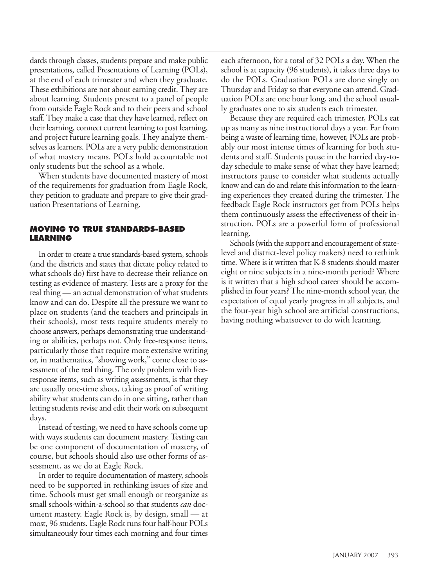dards through classes, students prepare and make public presentations, called Presentations of Learning (POLs), at the end of each trimester and when they graduate. These exhibitions are not about earning credit. They are about learning. Students present to a panel of people from outside Eagle Rock and to their peers and school staff. They make a case that they have learned, reflect on their learning, connect current learning to past learning, and project future learning goals. They analyze themselves as learners. POLs are a very public demonstration of what mastery means. POLs hold accountable not only students but the school as a whole.

When students have documented mastery of most of the requirements for graduation from Eagle Rock, they petition to graduate and prepare to give their graduation Presentations of Learning.

### **MOVING TO TRUE STANDARDS-BASED LEARNING**

In order to create a true standards-based system, schools (and the districts and states that dictate policy related to what schools do) first have to decrease their reliance on testing as evidence of mastery. Tests are a proxy for the real thing — an actual demonstration of what students know and can do. Despite all the pressure we want to place on students (and the teachers and principals in their schools), most tests require students merely to choose answers, perhaps demonstrating true understanding or abilities, perhaps not. Only free-response items, particularly those that require more extensive writing or, in mathematics, "showing work," come close to assessment of the real thing. The only problem with freeresponse items, such as writing assessments, is that they are usually one-time shots, taking as proof of writing ability what students can do in one sitting, rather than letting students revise and edit their work on subsequent days.

Instead of testing, we need to have schools come up with ways students can document mastery. Testing can be one component of documentation of mastery, of course, but schools should also use other forms of assessment, as we do at Eagle Rock.

In order to require documentation of mastery, schools need to be supported in rethinking issues of size and time. Schools must get small enough or reorganize as small schools-within-a-school so that students *can* document mastery. Eagle Rock is, by design, small — at most, 96 students. Eagle Rock runs four half-hour POLs simultaneously four times each morning and four times

each afternoon, for a total of 32 POLs a day. When the school is at capacity (96 students), it takes three days to do the POLs. Graduation POLs are done singly on Thursday and Friday so that everyone can attend. Graduation POLs are one hour long, and the school usually graduates one to six students each trimester.

Because they are required each trimester, POLs eat up as many as nine instructional days a year. Far from being a waste of learning time, however, POLs are probably our most intense times of learning for both students and staff. Students pause in the harried day-today schedule to make sense of what they have learned; instructors pause to consider what students actually know and can do and relate this information to the learning experiences they created during the trimester. The feedback Eagle Rock instructors get from POLs helps them continuously assess the effectiveness of their instruction. POLs are a powerful form of professional learning.

Schools (with the support and encouragement of statelevel and district-level policy makers) need to rethink time. Where is it written that K-8 students should master eight or nine subjects in a nine-month period? Where is it written that a high school career should be accomplished in four years? The nine-month school year, the expectation of equal yearly progress in all subjects, and the four-year high school are artificial constructions, having nothing whatsoever to do with learning.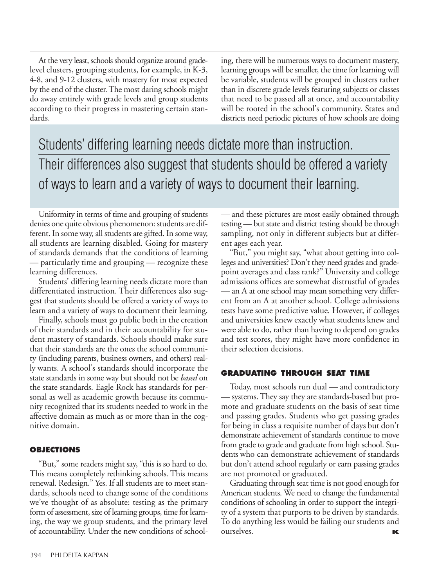At the very least, schools should organize around gradelevel clusters, grouping students, for example, in K-3, 4-8, and 9-12 clusters, with mastery for most expected by the end of the cluster. The most daring schools might do away entirely with grade levels and group students according to their progress in mastering certain standards.

ing, there will be numerous ways to document mastery, learning groups will be smaller, the time for learning will be variable, students will be grouped in clusters rather than in discrete grade levels featuring subjects or classes that need to be passed all at once, and accountability will be rooted in the school's community. States and districts need periodic pictures of how schools are doing

# Students' differing learning needs dictate more than instruction. Their differences also suggest that students should be offered a variety of ways to learn and a variety of ways to document their learning.

Uniformity in terms of time and grouping of students denies one quite obvious phenomenon: students are different. In some way, all students are gifted. In some way, all students are learning disabled. Going for mastery of standards demands that the conditions of learning — particularly time and grouping — recognize these learning differences.

Students' differing learning needs dictate more than differentiated instruction. Their differences also suggest that students should be offered a variety of ways to learn and a variety of ways to document their learning.

Finally, schools must go public both in the creation of their standards and in their accountability for student mastery of standards. Schools should make sure that their standards are the ones the school community (including parents, business owners, and others) really wants. A school's standards should incorporate the state standards in some way but should not be *based* on the state standards. Eagle Rock has standards for personal as well as academic growth because its community recognized that its students needed to work in the affective domain as much as or more than in the cognitive domain.

### **OBJECTIONS**

"But," some readers might say, "this is so hard to do. This means completely rethinking schools. This means renewal. Redesign." Yes. If all students are to meet standards, schools need to change some of the conditions we've thought of as absolute: testing as the primary form of assessment, size of learning groups, time for learning, the way we group students, and the primary level of accountability. Under the new conditions of school— and these pictures are most easily obtained through testing — but state and district testing should be through sampling, not only in different subjects but at different ages each year.

"But," you might say, "what about getting into colleges and universities? Don't they need grades and gradepoint averages and class rank?" University and college admissions offices are somewhat distrustful of grades — an A at one school may mean something very different from an A at another school. College admissions tests have some predictive value. However, if colleges and universities knew exactly what students knew and were able to do, rather than having to depend on grades and test scores, they might have more confidence in their selection decisions.

#### **GRADUATING THROUGH SEAT TIME**

Today, most schools run dual — and contradictory — systems. They say they are standards-based but promote and graduate students on the basis of seat time and passing grades. Students who get passing grades for being in class a requisite number of days but don't demonstrate achievement of standards continue to move from grade to grade and graduate from high school. Students who can demonstrate achievement of standards but don't attend school regularly or earn passing grades are not promoted or graduated.

Graduating through seat time is not good enough for American students. We need to change the fundamental conditions of schooling in order to support the integrity of a system that purports to be driven by standards. To do anything less would be failing our students and ourselves. **K**